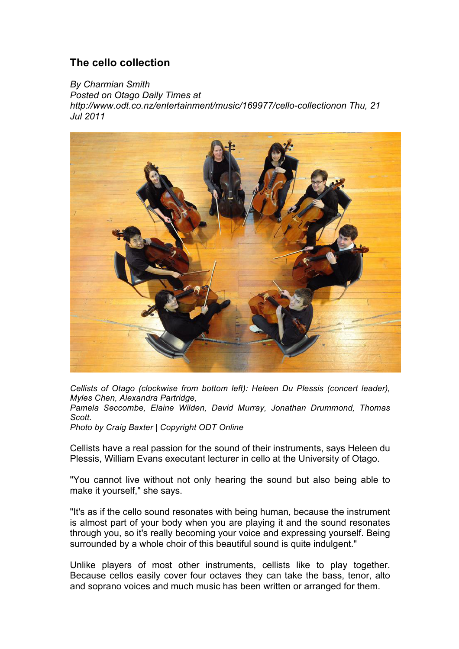## **The cello collection**

*By Charmian Smith Posted on Otago Daily Times at http://www.odt.co.nz/entertainment/music/169977/cello-collectionon Thu, 21 Jul 2011*



*Cellists of Otago (clockwise from bottom left): Heleen Du Plessis (concert leader), Myles Chen, Alexandra Partridge,* 

*Pamela Seccombe, Elaine Wilden, David Murray, Jonathan Drummond, Thomas Scott.* 

*Photo by Craig Baxter | Copyright ODT Online*

Cellists have a real passion for the sound of their instruments, says Heleen du Plessis, William Evans executant lecturer in cello at the University of Otago.

"You cannot live without not only hearing the sound but also being able to make it yourself," she says.

"It's as if the cello sound resonates with being human, because the instrument is almost part of your body when you are playing it and the sound resonates through you, so it's really becoming your voice and expressing yourself. Being surrounded by a whole choir of this beautiful sound is quite indulgent."

Unlike players of most other instruments, cellists like to play together. Because cellos easily cover four octaves they can take the bass, tenor, alto and soprano voices and much music has been written or arranged for them.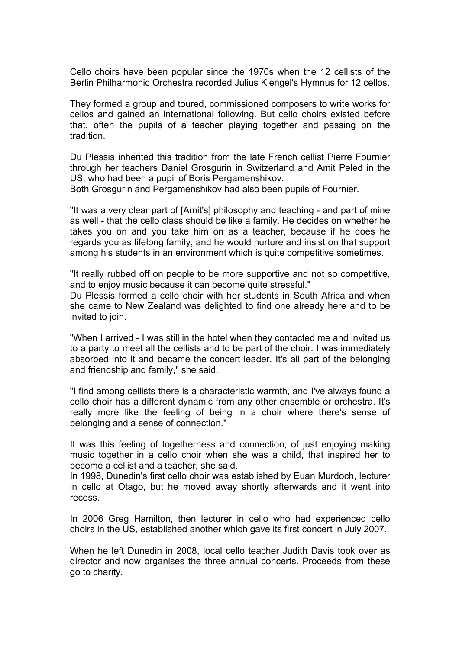Cello choirs have been popular since the 1970s when the 12 cellists of the Berlin Philharmonic Orchestra recorded Julius Klengel's Hymnus for 12 cellos.

They formed a group and toured, commissioned composers to write works for cellos and gained an international following. But cello choirs existed before that, often the pupils of a teacher playing together and passing on the tradition.

Du Plessis inherited this tradition from the late French cellist Pierre Fournier through her teachers Daniel Grosgurin in Switzerland and Amit Peled in the US, who had been a pupil of Boris Pergamenshikov.

Both Grosgurin and Pergamenshikov had also been pupils of Fournier.

"It was a very clear part of [Amit's] philosophy and teaching - and part of mine as well - that the cello class should be like a family. He decides on whether he takes you on and you take him on as a teacher, because if he does he regards you as lifelong family, and he would nurture and insist on that support among his students in an environment which is quite competitive sometimes.

"It really rubbed off on people to be more supportive and not so competitive, and to enjoy music because it can become quite stressful."

Du Plessis formed a cello choir with her students in South Africa and when she came to New Zealand was delighted to find one already here and to be invited to join.

"When I arrived - I was still in the hotel when they contacted me and invited us to a party to meet all the cellists and to be part of the choir. I was immediately absorbed into it and became the concert leader. It's all part of the belonging and friendship and family," she said.

"I find among cellists there is a characteristic warmth, and I've always found a cello choir has a different dynamic from any other ensemble or orchestra. It's really more like the feeling of being in a choir where there's sense of belonging and a sense of connection."

It was this feeling of togetherness and connection, of just enjoying making music together in a cello choir when she was a child, that inspired her to become a cellist and a teacher, she said.

In 1998, Dunedin's first cello choir was established by Euan Murdoch, lecturer in cello at Otago, but he moved away shortly afterwards and it went into recess.

In 2006 Greg Hamilton, then lecturer in cello who had experienced cello choirs in the US, established another which gave its first concert in July 2007.

When he left Dunedin in 2008, local cello teacher Judith Davis took over as director and now organises the three annual concerts. Proceeds from these go to charity.